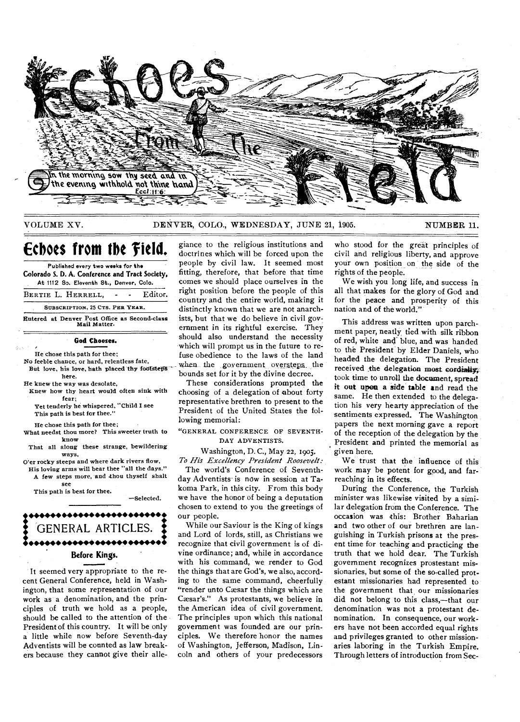

VOLUME XV. DENVER, COLO., WEDNESDAY, JUNE 21, 1905. NUMBER 11.

# **Echoes from the field.**

**Published every two weeks for the Colorado S. D. A. Conference and Tract Society, At 1112 So. Eleventh St., Denver, Colo.** 

**BERTIE** L. **HERRELL, -** Editor. **SUBSCRIPTION, 25 CTS. PER YEAR.** 

**Entered at Denver Post Office as Second-class Mail Matter.** 

#### **God Chooses.**

**He chose this path for thee;** 

**No feeble chance, or hard, relentless fate,**  But love, his love, hath placed thy footsteps

**here. He knew the way was desolate,** 

**Knew how thy heart would often sink with fear; Yet tenderly he whispered, "Child I see** 

**This path is best for thee."** 

**He chose this path for thee;** 

**What needst thou more? This sweeter truth to know That all along these strange, bewildering** 

**ways,** 

**O'er rocky steeps and where dark rivers flow, His loving arms will bear thee "all the days." A few steps more, and -thou thyself shalt see** 

**—Selected.** 

**This path is best for thee.** 



It seemed very appropriate to the recent General Conference, held in Washington, that some representation of our

work as a denomination, and the principles of truth we hold as a people, should be called to the attention of the President of this country. It will be only a little while now before Seventh-day Adventists will be counted as law breakers because they cannot give their allegiance to the religious institutions and doctrines which will be forced upon the people by civil law. It seemed most fitting, therefore, that before that time comes we should place ourselves in the right position before the people of this country and the entire world, making it distinctly known that we are not anarchists, but that we do believe in civil government in its rightful exercise. They should also understand the necessity which will prompt us in the future to refuse obedience to the laws of the land when the government oversteps the bounds set for it by the divine decree.

These considerations prompted the choosing of a delegation of about forty representative brethren to present to the President of the United States the following memorial:

#### **"GENERAL CONFERENCE OF SEVENTH-DAY ADVENTISTS.**

Washington, D. C., May **22,** 1905. *To His Excellency President Roosevelt:* 

The world's Conference of Seventhday Adventists is now in session at Takoma Park, in this city. From this body we have the honor of being a deputation chosen to extend to you the greetings of our people.

While our Saviour is the King of kings and Lord of lords, still, as Christians we recognize that civil government is of divine ordinance; and, while in accordance with his command, we render to God the things that are God's, we also, according to the same command, cheerfully "render unto Cæsar the things which are Caesar's." As protestants, we believe in the American idea of civil government. The principles upon which this national government was founded are our principles. We therefore honor the names of Washington, Jefferson, Madison, Lincoln and others of your predecessors

who stood for the great principles of civil and religious liberty, and approve your own position on the side of the rights of the people.

We wish you long life, and success in all that makes for the glory of God and for the peace and prosperity of this nation and of the world."

This address was written upon parchment paper, neatly tied with silk ribbon of red, white and blue, and was handed to the President by Elder Daniels, who headed the delegation. The President received the delegation most cordialty. took time to unroll the document, spread **it out upon. a side table** and read the same. He then extended to the delegation his very hearty appreciation of the sentiments expressed. The Washington papers the next morning gave a report of the reception of the delegation by the President and printed the memorial as given here.

We trust that the influence of this work may be potent for good, and farreaching in its effects.

During the Conference, the Turkish minister was likewise visited by a similar delegation from the Conference. The occasion was this: Brother Baharian and two other of our brethren are languishing in Turkish prisons at the present time for teaching and practicing the truth that we hold dear. The Turkish government recognizes prostestant missionaries, but some of the so-called protestant missionaries had represented to the government that our missionaries did not belong to this class,—that our denomination was not a protestant denomination. In consequence, our workers have not been accorded equal rights and privileges granted to other missionaries laboring in the Turkish Empire. Through letters of introduction from Sec-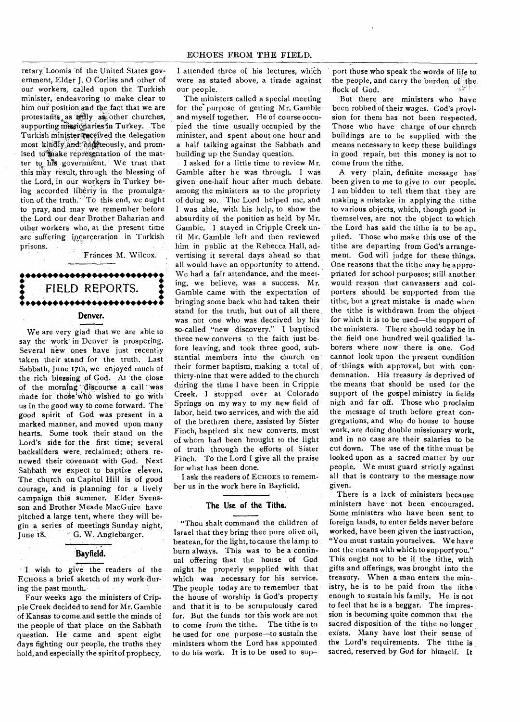retary.Loomis of the United States government, Elder J. 0 Corliss and other of our workers, called upon the Turkish minister, endeavoring to make clear to him our position and the fact that we are protestants as trily as other churches, supporting missionaries in Turkey. The Turkish minister received the delegation most kindly and. confiteously, and promised to make representation of the matter to his government. We trust that this may result, through the blessing of the Lord, in our workers in Turkey being accorded liberty in the promulgation of the truth. To this end, we ought to pray, and may we remember before the Lord our dear Brother Baharian and other workers who, at the present time are suffering incarceration in Turkish prisons.

Frances M. Wilcox.

# **•• ••••••••••••••••••••••••2 \* FIELD REPORTS. •••••• •••••••••••• •••••• • Denver.**

We are very glad that we are able to say the work in Denver is prospering. Several new ones have just recently taken their stand for the truth. Last Sabbath, June 17th, we enjoyed much of the rich blessing of God. At the close of the morning discourse a call was made for those who wished to go with us in the good way to come forward. The good spirit of God was present in a marked manner, and moved upon many hearts. Some took their stand on the Lord's side for the first time; several backsliders were, reclaimed; others renewed their covenant with God. Next Sabbath we expect to baptize eleven. The church on Capitol Hill is of good courage, and is planning for a lively campaign this summer. Elder Svensson and Brother Meade MacGuire have pitched a large tent, where they will begin a series of meetings Sunday night,<br>June 18. G. W. Anglebarger. G. W. Anglebarger.

#### **Bayfield.**

wish to give the readers of the ECHOES a brief sketch of my work during the past month.

Four weeks ago the ministers of Cripple Creek decided to send for Mr. Gamble of Kansas to come and settle the minds of the people of that place on the Sabbath question. He came and spent eight days fighting our people, the truths they hold, and especially the spirit of prophecy,

I attended three of his lectures, which were as stated above, a tirade against our people.

The ministers called a special meeting for the-purpose of getting Mr. Gamble and myself together. He of course occupied the time usually occupied by the minister, and spent about one hour and a half talking against the Sabbath and building up the Sunday question.

I asked for a little time to review Mr. Gamble after he was through. I was given one-half hour after much debate among the ministers as to the propriety of doing so. The Lord helped me, and I was able, with his help, to show the absurdity of the position as held by Mr. Gamble. I stayed in Cripple Creek until Mr. Gamble left and then reviewed him in public at the Rebecca Hall, advertising it several days ahead so that all would have an opportunity to attend. We, had a fair attendance, and the meeting, we believe, was a success. Mr. Gamble came with the expectation of bringing some back who had taken their stand for the truth, but out of all there. was not one who was deceived by his ' so-called "new discovery." I baptized three new converts to the faith just before leaving, and took three good, substantial members into the church on their former baptism, making a total of thirty-nine that were added to the church during the time I have been in Cripple Creek. I stopped over at Colorado Springs on my way to my new field of labor, held two services, and with the aid of the brethren there, assisted by Sister Finch, baptized six new converts, most of whom had been brought to the light of truth through the efforts of Sister Finch. To the Lord I give all the praise for what has been done.

I ask the readers of ECHOES to remember us in the work here in Bayfield.

## **The Use of the Tithe.**

"Thou shalt command the children of Israel that they bring thee pure olive oil, beatean, for the light, to cause the lamp to burn always. This was to be a continual offering that the house of God might be properly supplied with that which was necessary for his service. The people today are to remember that the house of worship is God's property and that it is to be scrupulously cared for. But the funds tor this work are not to come from the tithe. The tithe is to be used for one purpose—to sustain the ministers whom the Lord has appointed to do his work. It is to be used to sup-

port those who speak the words of life to the people, and carry the burden of 'the flock of God.

But there are ministers who have been robbed of their wages. God's provision for them has not been respected. Those who have charge of our chnrch buildings are to be supplied with the means necessary to keep these buildings in good repair, but this money is not to come from the tithe.

A very plain, definite message has been given to me to give to our people. I am bidden to tell them that they are making a mistake in applying the tithe to various objects, which, though good in themselves, are not the object to which the Lord has said the tithe is to be applied. Those who make this use of the tithe are departing from God's arrangement. God will judge for these things. One reasons that the tithe may be appropriated for school purposes; still another would reason that canvassers and colporters should be supported from the tithe, but a great mistake is made when the tithe is withdrawn from the object for which it is to be used—the support of the ministers. There should today be in the field one hundred well qualified laborers where now there is one. God cannot look upon the present condition of things with approval, but with condemnation. His treasury is deprived of the means that should be used for the support of the gospel ministry in fields nigh and far off. Those who proclaim the message of truth before great congregations, and who do house to house work, are doing double missionary work, and in no case are their salaries to be cut down. The use of the tithe must be looked upon as a sacred matter by our people. We must guard strictly against all that is contrary to the message now given.

There is a lack of ministers because ministers have not been encouraged. Some ministers who have been sent to foreign lands, to enter fields never before worked, have been given the instruction, "You must sustain yourselves. We have not the means with which to support you." This ought not to be if the tithe, with gifts and offerings, was brought into the treasury. When a man enters the ministry, he is to be paid from the tithe enough to sustain his family. He is not to feel that he is a beggar. The impression is becoming quite common that the sacred disposition of the tithe no longer exists. Many have lost their sense of the Lord's requirements. The tithe is sacred, reserved by God for himself. It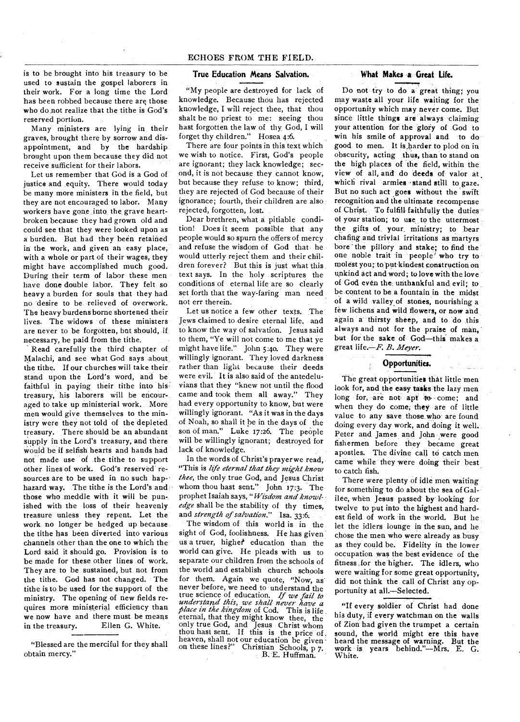is to be brought into his treasury to be used to sustain the gospel laborers in their work. For a long time the Lord has been robbed because there are those who do not realize that the tithe is God's reserved portion.

Many ministers are lying in their graves, brought there by sorrow and disappointment, and by the hardship brought upon them because they did not receive sufficient for their labors.

Let us remember that God is a God of justice and equity. There would today be many more ministers in the field, but they are not encouraged to labor. Many workers have gone into the grave heartbroken because they had grown old and could see that they were looked upon as a burden. But had they been retained in the work, and given an easy place, with a whole or part of their wages, they might have accomplished much good. During their term of labor these men have done double labor. They felt so heavy a burden for souls that they had no 'desire to be relieved of overwork. The heavy burdens borne shortened their lives. The widows of these ministers are never to be forgotten, bat should, if necessary, he paid from the tithe.

Read carefully the third chapter of Malachi, and see what God says about the tithe. If our churches will take their stand upon the Lord's word, and be faithful in paying their tithe into his treasury, his laborers will be encouraged to take up ministerial work. More men would give themselves to the ministry were they not told of the depleted treasury. There should be an abundant supply in the Lord's treasury, and there would be if selfish hearts and hands had not made use of the tithe to support other lines of work. God's reserved resources are to be used in no such haphazard way. The tithe is the Lord's and those who meddle with it will be punished with the loss of their heavenly treasure unless they repent. Let the work no longer be hedged up because the tithe has been diverted into various channels other than the one to which the Lord said it should go. Provision is to be made for these other lines of work. They are to be sustained, but not from the tithe. God has not changed. The tithe is to be used for the support of the ministry. The opening of new fields requires more ministerial efficiency than we now have and there must be means<br>in the treasury. Ellen G. White. Ellen G. White.

"Blessed are the merciful for they shall obtain mercy."

#### **True Education Means Salvation.**

"My people are destroyed for lack of knowledge. Because thou has rejected knowledge, I will reject thee, that thou shalt be no priest to me: seeing thou hast forgotten the law of thy God, I will forget thy children." Hosea 4:6.

There are four points in this text which we wish to notice. First, God's people are ignorant; they lack knowledge; second, it is not because they cannot know, but because they refuse to know; third, they are rejected of God because of their ignorance; fourth, their children are also rejected, forgotten, lost.

Dear brethren, what a pitiable condition! Does it seem possible that any people would so spurn the offers of mercy and refuse the wisdom of God that **he**  would utterly reject them and their children forever? But this is just what this text says. In the holy scriptures the conditions of eternal life are so clearly set forth that the way-faring man need not err therein.

Let us notice a few other texts. The Jews claimed to desire eternal life, and to know the way of salvation. Jesus said to them, "Ye will not come to me that ye might have life." John 5:4o. They were willingly ignorant. They loved darkness rather than light because their deeds were evil. It is also said of the antedeluvians that they "knew not until the flood came and took them all away." They had every opportunity to know, but were willingly ignorant. "As it was in the days of Noah, so shall it be in the days of the son of man." Luke 17:26. The people will be willingly ignorant; destroyed for lack of knowledge.

In the words of Christ's prayer we read, "This is *life eternal that they might know thee,* the only true God, and Jesus Christ whom thou hast sent." John 17:3. The prophet Isaiah says, *"Wisdom and knowledge* shall be the stability of thy times, and *strength of salvation." Isa.* 33:6.

The wisdom of this world is in the sight of God, foolishness. He has given us a truer, higher education than the world can give. He pleads with us to separate our children from the schools of the world and establish church schools for them. Again we quote, "Now, as' never before, we need to understand the true science of education. *If we fail to understand this, we shall never have a place in the kingdom* of Cod. This is life eternal, that they might know thee, the only true God, and Jesus Christ whom thou hast sent. If this is the price of. heaven, shall not our education be given on these lines?" Christian Schools, p 7. B. E. Huffman.

#### **What Makes a Great Life.**

Do not try to do a great thing; you may waste all your life waiting for the opportunity which may never come. But since little things are always claiming your attention for the glory of God to win his smile of approval and to do good to men. It is harder to plod on in obscurity, acting **thus, than to** stand on the high places of the field, within the view of all, and **do 'deeds of valor at which rival armies stand still to gaze. But no such act goes without the swift recognition and the ultimate recompense of Christ.. To fulfill faithfully the duties of your station; to use, to the uttermost the gifts of your, ministry; to bear chafing and trivial irritations as martyrs bore ' the pillory and stake; to find the one noble trait in people' who try to molest you;: to-put-kindest construction on**  unkind act and word; to love with the love of **God even the unthankful and evil; to be content to be a fountain in the midst of a wild valley of stones, nourishing a few lichens and wild flowers, or now and**  again a thirsty sheep, and to do this **always and not for the praise of man, but for the sake of God—this' makes a great life.—F.** *B. Meyer.* 

## **Opportunities.**

The great opportunities that little men look **for, and the easy tasks the lazy men**  long for, are not apt to come; and when they do **come, they are of little value to any** save those who are found doing every day work, and doing it well. Peter and James and John ,were good fishermen before they became great apostles. The divine call to catch men came while they were doing their best to catch fish.

There were plenty of idle men waiting for something to do about the sea of Galilee, when Jesus passed by looking for twelve to put into the highest and hardest field of work in the world. But he let the idlers lounge in the sun, and he chose the men who were already as busy as they could be. Fidelity in the lower occupation was the best evidence of the fitness for the higher. The idlers, who were waiting for some great opportunity, did not think the call of Christ any opportunity at **all.—Selected.** 

**"If every soldier of Christ had done his duty, if** every watchman on the walls of Zion had given the trumpet a certain sound, the world might ere this have heard the message of warning. But the work is years behind."—Mrs. E. G. White.